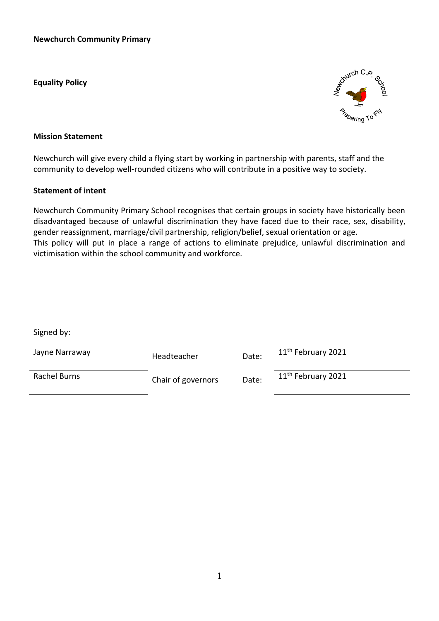**Equality Policy**



#### **Mission Statement**

Newchurch will give every child a flying start by working in partnership with parents, staff and the community to develop well-rounded citizens who will contribute in a positive way to society.

#### **Statement of intent**

Newchurch Community Primary School recognises that certain groups in society have historically been disadvantaged because of unlawful discrimination they have faced due to their race, sex, disability, gender reassignment, marriage/civil partnership, religion/belief, sexual orientation or age. This policy will put in place a range of actions to eliminate prejudice, unlawful discrimination and victimisation within the school community and workforce.

Signed by:

| Jayne Narraway | Headteacher        | Date: | 11 <sup>th</sup> February 2021 |
|----------------|--------------------|-------|--------------------------------|
| Rachel Burns   | Chair of governors | Date: | 11 <sup>th</sup> February 2021 |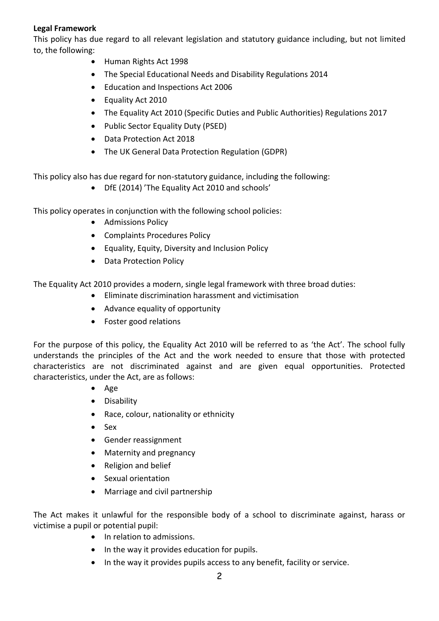### **Legal Framework**

This policy has due regard to all relevant legislation and statutory guidance including, but not limited to, the following:

- Human Rights Act 1998
- The Special Educational Needs and Disability Regulations 2014
- Education and Inspections Act 2006
- Equality Act 2010
- The Equality Act 2010 (Specific Duties and Public Authorities) Regulations 2017
- Public Sector Equality Duty (PSED)
- Data Protection Act 2018
- The UK General Data Protection Regulation (GDPR)

This policy also has due regard for non-statutory guidance, including the following:

DfE (2014) 'The Equality Act 2010 and schools'

This policy operates in conjunction with the following school policies:

- Admissions Policy
- Complaints Procedures Policy
- Equality, Equity, Diversity and Inclusion Policy
- Data Protection Policy

The Equality Act 2010 provides a modern, single legal framework with three broad duties:

- Eliminate discrimination harassment and victimisation
	- Advance equality of opportunity
	- Foster good relations

For the purpose of this policy, the Equality Act 2010 will be referred to as 'the Act'. The school fully understands the principles of the Act and the work needed to ensure that those with protected characteristics are not discriminated against and are given equal opportunities. Protected characteristics, under the Act, are as follows:

- Age
- Disability
- Race, colour, nationality or ethnicity
- $-$  Sex
- Gender reassignment
- Maternity and pregnancy
- Religion and belief
- Sexual orientation
- Marriage and civil partnership

The Act makes it unlawful for the responsible body of a school to discriminate against, harass or victimise a pupil or potential pupil:

- In relation to admissions.
- In the way it provides education for pupils.
- In the way it provides pupils access to any benefit, facility or service.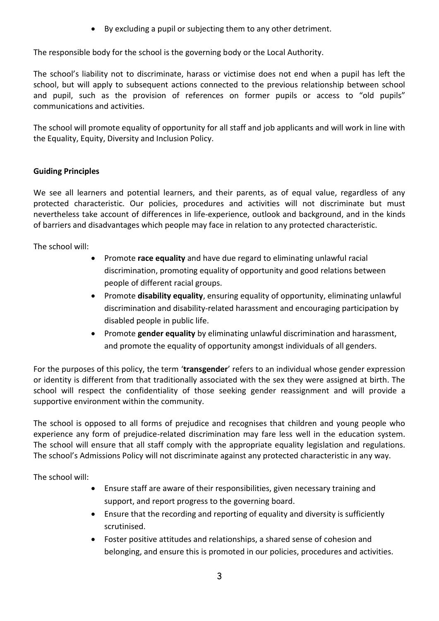By excluding a pupil or subjecting them to any other detriment.

The responsible body for the school is the governing body or the Local Authority.

The school's liability not to discriminate, harass or victimise does not end when a pupil has left the school, but will apply to subsequent actions connected to the previous relationship between school and pupil, such as the provision of references on former pupils or access to "old pupils" communications and activities.

The school will promote equality of opportunity for all staff and job applicants and will work in line with the Equality, Equity, Diversity and Inclusion Policy.

### **Guiding Principles**

We see all learners and potential learners, and their parents, as of equal value, regardless of any protected characteristic. Our policies, procedures and activities will not discriminate but must nevertheless take account of differences in life-experience, outlook and background, and in the kinds of barriers and disadvantages which people may face in relation to any protected characteristic.

The school will:

- Promote **race equality** and have due regard to eliminating unlawful racial discrimination, promoting equality of opportunity and good relations between people of different racial groups.
- Promote **disability equality**, ensuring equality of opportunity, eliminating unlawful discrimination and disability-related harassment and encouraging participation by disabled people in public life.
- Promote **gender equality** by eliminating unlawful discrimination and harassment, and promote the equality of opportunity amongst individuals of all genders.

For the purposes of this policy, the term '**transgender**' refers to an individual whose gender expression or identity is different from that traditionally associated with the sex they were assigned at birth. The school will respect the confidentiality of those seeking gender reassignment and will provide a supportive environment within the community.

The school is opposed to all forms of prejudice and recognises that children and young people who experience any form of prejudice-related discrimination may fare less well in the education system. The school will ensure that all staff comply with the appropriate equality legislation and regulations. The school's Admissions Policy will not discriminate against any protected characteristic in any way.

The school will:

- Ensure staff are aware of their responsibilities, given necessary training and support, and report progress to the governing board.
- Ensure that the recording and reporting of equality and diversity is sufficiently scrutinised.
- Foster positive attitudes and relationships, a shared sense of cohesion and belonging, and ensure this is promoted in our policies, procedures and activities.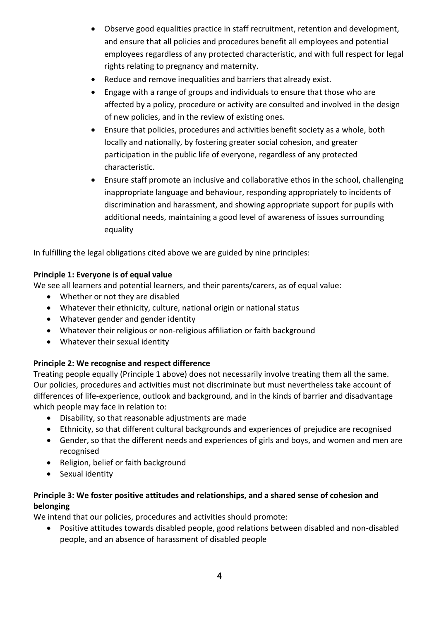- Observe good equalities practice in staff recruitment, retention and development, and ensure that all policies and procedures benefit all employees and potential employees regardless of any protected characteristic, and with full respect for legal rights relating to pregnancy and maternity.
- Reduce and remove inequalities and barriers that already exist.
- Engage with a range of groups and individuals to ensure that those who are affected by a policy, procedure or activity are consulted and involved in the design of new policies, and in the review of existing ones.
- Ensure that policies, procedures and activities benefit society as a whole, both locally and nationally, by fostering greater social cohesion, and greater participation in the public life of everyone, regardless of any protected characteristic.
- Ensure staff promote an inclusive and collaborative ethos in the school, challenging inappropriate language and behaviour, responding appropriately to incidents of discrimination and harassment, and showing appropriate support for pupils with additional needs, maintaining a good level of awareness of issues surrounding equality

In fulfilling the legal obligations cited above we are guided by nine principles:

## **Principle 1: Everyone is of equal value**

We see all learners and potential learners, and their parents/carers, as of equal value:

- Whether or not they are disabled
- Whatever their ethnicity, culture, national origin or national status
- Whatever gender and gender identity
- Whatever their religious or non-religious affiliation or faith background
- Whatever their sexual identity

# **Principle 2: We recognise and respect difference**

Treating people equally (Principle 1 above) does not necessarily involve treating them all the same. Our policies, procedures and activities must not discriminate but must nevertheless take account of differences of life-experience, outlook and background, and in the kinds of barrier and disadvantage which people may face in relation to:

- Disability, so that reasonable adjustments are made
- Ethnicity, so that different cultural backgrounds and experiences of prejudice are recognised
- Gender, so that the different needs and experiences of girls and boys, and women and men are recognised
- Religion, belief or faith background
- Sexual identity

# **Principle 3: We foster positive attitudes and relationships, and a shared sense of cohesion and belonging**

We intend that our policies, procedures and activities should promote:

 Positive attitudes towards disabled people, good relations between disabled and non-disabled people, and an absence of harassment of disabled people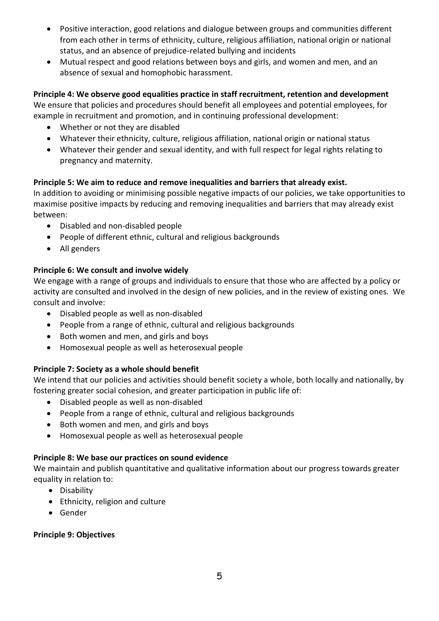- Positive interaction, good relations and dialogue between groups and communities different from each other in terms of ethnicity, culture, religious affiliation, national origin or national status, and an absence of prejudice-related bullying and incidents
- Mutual respect and good relations between boys and girls, and women and men, and an absence of sexual and homophobic harassment.

**Principle 4: We observe good equalities practice in staff recruitment, retention and development** We ensure that policies and procedures should benefit all employees and potential employees, for example in recruitment and promotion, and in continuing professional development:

- Whether or not they are disabled
- Whatever their ethnicity, culture, religious affiliation, national origin or national status
- Whatever their gender and sexual identity, and with full respect for legal rights relating to pregnancy and maternity.

# **Principle 5: We aim to reduce and remove inequalities and barriers that already exist.**

In addition to avoiding or minimising possible negative impacts of our policies, we take opportunities to maximise positive impacts by reducing and removing inequalities and barriers that may already exist between:

- Disabled and non-disabled people
- People of different ethnic, cultural and religious backgrounds
- All genders

# **Principle 6: We consult and involve widely**

We engage with a range of groups and individuals to ensure that those who are affected by a policy or activity are consulted and involved in the design of new policies, and in the review of existing ones. We consult and involve:

- Disabled people as well as non-disabled
- People from a range of ethnic, cultural and religious backgrounds
- Both women and men, and girls and boys
- Homosexual people as well as heterosexual people

# **Principle 7: Society as a whole should benefit**

We intend that our policies and activities should benefit society a whole, both locally and nationally, by fostering greater social cohesion, and greater participation in public life of:

- Disabled people as well as non-disabled
- People from a range of ethnic, cultural and religious backgrounds
- Both women and men, and girls and boys
- Homosexual people as well as heterosexual people

# **Principle 8: We base our practices on sound evidence**

We maintain and publish quantitative and qualitative information about our progress towards greater equality in relation to:

- Disability
- Ethnicity, religion and culture
- Gender

# **Principle 9: Objectives**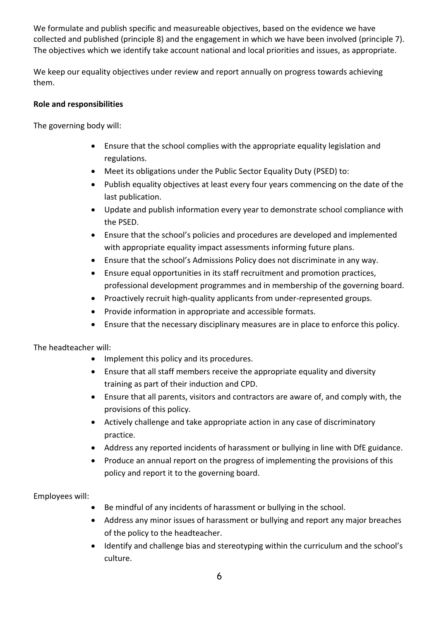We formulate and publish specific and measureable objectives, based on the evidence we have collected and published (principle 8) and the engagement in which we have been involved (principle 7). The objectives which we identify take account national and local priorities and issues, as appropriate.

We keep our equality objectives under review and report annually on progress towards achieving them.

## **Role and responsibilities**

The governing body will:

- Ensure that the school complies with the appropriate equality legislation and regulations.
- Meet its obligations under the Public Sector Equality Duty (PSED) to:
- Publish equality objectives at least every four years commencing on the date of the last publication.
- Update and publish information every year to demonstrate school compliance with the PSED.
- Ensure that the school's policies and procedures are developed and implemented with appropriate equality impact assessments informing future plans.
- Ensure that the school's Admissions Policy does not discriminate in any way.
- Ensure equal opportunities in its staff recruitment and promotion practices, professional development programmes and in membership of the governing board.
- Proactively recruit high-quality applicants from under-represented groups.
- Provide information in appropriate and accessible formats.
- Ensure that the necessary disciplinary measures are in place to enforce this policy.

The headteacher will:

- Implement this policy and its procedures.
- Ensure that all staff members receive the appropriate equality and diversity training as part of their induction and CPD.
- Ensure that all parents, visitors and contractors are aware of, and comply with, the provisions of this policy.
- Actively challenge and take appropriate action in any case of discriminatory practice.
- Address any reported incidents of harassment or bullying in line with DfE guidance.
- Produce an annual report on the progress of implementing the provisions of this policy and report it to the governing board.

Employees will:

- Be mindful of any incidents of harassment or bullying in the school.
- Address any minor issues of harassment or bullying and report any major breaches of the policy to the headteacher.
- Identify and challenge bias and stereotyping within the curriculum and the school's culture.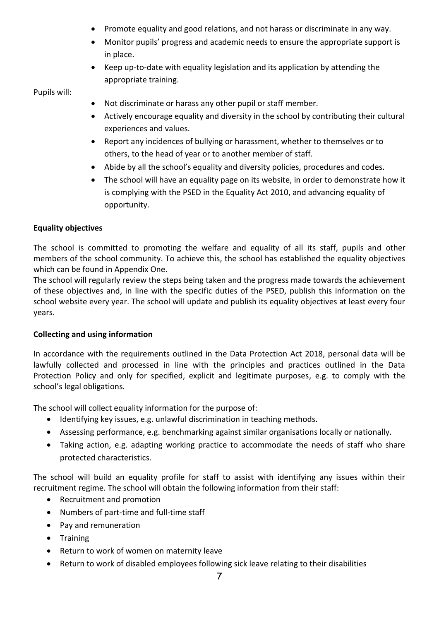- Promote equality and good relations, and not harass or discriminate in any way.
- Monitor pupils' progress and academic needs to ensure the appropriate support is in place.
- Keep up-to-date with equality legislation and its application by attending the appropriate training.

Pupils will:

- Not discriminate or harass any other pupil or staff member.
- Actively encourage equality and diversity in the school by contributing their cultural experiences and values.
- Report any incidences of bullying or harassment, whether to themselves or to others, to the head of year or to another member of staff.
- Abide by all the school's equality and diversity policies, procedures and codes.
- The school will have an equality page on its website, in order to demonstrate how it is complying with the PSED in the Equality Act 2010, and advancing equality of opportunity.

### **Equality objectives**

The school is committed to promoting the welfare and equality of all its staff, pupils and other members of the school community. To achieve this, the school has established the equality objectives which can be found in Appendix One.

The school will regularly review the steps being taken and the progress made towards the achievement of these objectives and, in line with the specific duties of the PSED, publish this information on the school website every year. The school will update and publish its equality objectives at least every four years.

### **Collecting and using information**

In accordance with the requirements outlined in the Data Protection Act 2018, personal data will be lawfully collected and processed in line with the principles and practices outlined in the Data Protection Policy and only for specified, explicit and legitimate purposes, e.g. to comply with the school's legal obligations.

The school will collect equality information for the purpose of:

- Identifying key issues, e.g. unlawful discrimination in teaching methods.
- Assessing performance, e.g. benchmarking against similar organisations locally or nationally.
- Taking action, e.g. adapting working practice to accommodate the needs of staff who share protected characteristics.

The school will build an equality profile for staff to assist with identifying any issues within their recruitment regime. The school will obtain the following information from their staff:

- Recruitment and promotion
- Numbers of part-time and full-time staff
- Pay and remuneration
- Training
- Return to work of women on maternity leave
- Return to work of disabled employees following sick leave relating to their disabilities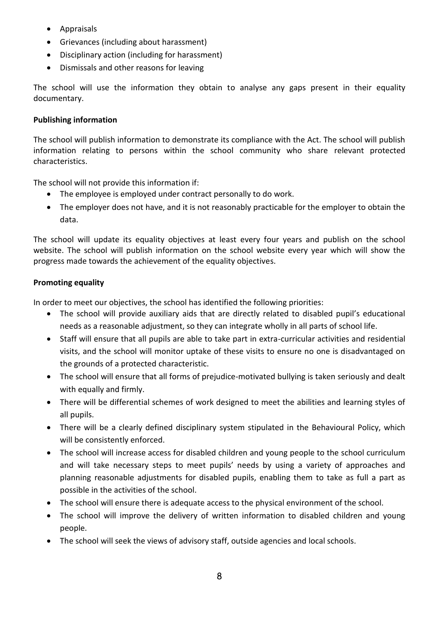- Appraisals
- Grievances (including about harassment)
- Disciplinary action (including for harassment)
- Dismissals and other reasons for leaving

The school will use the information they obtain to analyse any gaps present in their equality documentary.

## **Publishing information**

The school will publish information to demonstrate its compliance with the Act. The school will publish information relating to persons within the school community who share relevant protected characteristics.

The school will not provide this information if:

- The employee is employed under contract personally to do work.
- The employer does not have, and it is not reasonably practicable for the employer to obtain the data.

The school will update its equality objectives at least every four years and publish on the school website. The school will publish information on the school website every year which will show the progress made towards the achievement of the equality objectives.

## **Promoting equality**

In order to meet our objectives, the school has identified the following priorities:

- The school will provide auxiliary aids that are directly related to disabled pupil's educational needs as a reasonable adjustment, so they can integrate wholly in all parts of school life.
- Staff will ensure that all pupils are able to take part in extra-curricular activities and residential visits, and the school will monitor uptake of these visits to ensure no one is disadvantaged on the grounds of a protected characteristic.
- The school will ensure that all forms of prejudice-motivated bullying is taken seriously and dealt with equally and firmly.
- There will be differential schemes of work designed to meet the abilities and learning styles of all pupils.
- There will be a clearly defined disciplinary system stipulated in the Behavioural Policy, which will be consistently enforced.
- The school will increase access for disabled children and young people to the school curriculum and will take necessary steps to meet pupils' needs by using a variety of approaches and planning reasonable adjustments for disabled pupils, enabling them to take as full a part as possible in the activities of the school.
- The school will ensure there is adequate access to the physical environment of the school.
- The school will improve the delivery of written information to disabled children and young people.
- The school will seek the views of advisory staff, outside agencies and local schools.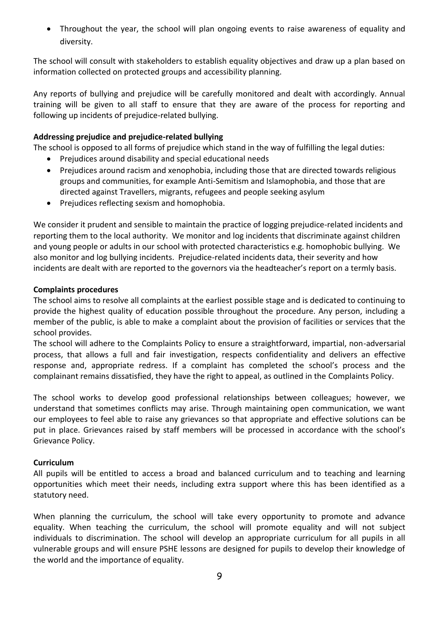Throughout the year, the school will plan ongoing events to raise awareness of equality and diversity.

The school will consult with stakeholders to establish equality objectives and draw up a plan based on information collected on protected groups and accessibility planning.

Any reports of bullying and prejudice will be carefully monitored and dealt with accordingly. Annual training will be given to all staff to ensure that they are aware of the process for reporting and following up incidents of prejudice-related bullying.

### **Addressing prejudice and prejudice-related bullying**

The school is opposed to all forms of prejudice which stand in the way of fulfilling the legal duties:

- Prejudices around disability and special educational needs
- Prejudices around racism and xenophobia, including those that are directed towards religious groups and communities, for example Anti-Semitism and Islamophobia, and those that are directed against Travellers, migrants, refugees and people seeking asylum
- Prejudices reflecting sexism and homophobia.

We consider it prudent and sensible to maintain the practice of logging prejudice-related incidents and reporting them to the local authority. We monitor and log incidents that discriminate against children and young people or adults in our school with protected characteristics e.g. homophobic bullying. We also monitor and log bullying incidents. Prejudice-related incidents data, their severity and how incidents are dealt with are reported to the governors via the headteacher's report on a termly basis.

#### **Complaints procedures**

The school aims to resolve all complaints at the earliest possible stage and is dedicated to continuing to provide the highest quality of education possible throughout the procedure. Any person, including a member of the public, is able to make a complaint about the provision of facilities or services that the school provides.

The school will adhere to the Complaints Policy to ensure a straightforward, impartial, non-adversarial process, that allows a full and fair investigation, respects confidentiality and delivers an effective response and, appropriate redress. If a complaint has completed the school's process and the complainant remains dissatisfied, they have the right to appeal, as outlined in the Complaints Policy.

The school works to develop good professional relationships between colleagues; however, we understand that sometimes conflicts may arise. Through maintaining open communication, we want our employees to feel able to raise any grievances so that appropriate and effective solutions can be put in place. Grievances raised by staff members will be processed in accordance with the school's Grievance Policy.

#### **Curriculum**

All pupils will be entitled to access a broad and balanced curriculum and to teaching and learning opportunities which meet their needs, including extra support where this has been identified as a statutory need.

When planning the curriculum, the school will take every opportunity to promote and advance equality. When teaching the curriculum, the school will promote equality and will not subject individuals to discrimination. The school will develop an appropriate curriculum for all pupils in all vulnerable groups and will ensure PSHE lessons are designed for pupils to develop their knowledge of the world and the importance of equality.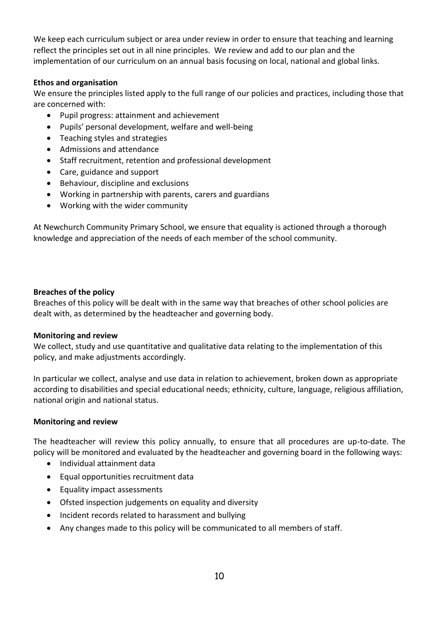We keep each curriculum subject or area under review in order to ensure that teaching and learning reflect the principles set out in all nine principles. We review and add to our plan and the implementation of our curriculum on an annual basis focusing on local, national and global links.

### **Ethos and organisation**

We ensure the principles listed apply to the full range of our policies and practices, including those that are concerned with:

- Pupil progress: attainment and achievement
- Pupils' personal development, welfare and well-being
- Teaching styles and strategies
- Admissions and attendance
- Staff recruitment, retention and professional development
- Care, guidance and support
- Behaviour, discipline and exclusions
- Working in partnership with parents, carers and guardians
- Working with the wider community

At Newchurch Community Primary School, we ensure that equality is actioned through a thorough knowledge and appreciation of the needs of each member of the school community.

### **Breaches of the policy**

Breaches of this policy will be dealt with in the same way that breaches of other school policies are dealt with, as determined by the headteacher and governing body.

#### **Monitoring and review**

We collect, study and use quantitative and qualitative data relating to the implementation of this policy, and make adjustments accordingly.

In particular we collect, analyse and use data in relation to achievement, broken down as appropriate according to disabilities and special educational needs; ethnicity, culture, language, religious affiliation, national origin and national status.

#### **Monitoring and review**

The headteacher will review this policy annually, to ensure that all procedures are up-to-date. The policy will be monitored and evaluated by the headteacher and governing board in the following ways:

- Individual attainment data
- Equal opportunities recruitment data
- Equality impact assessments
- Ofsted inspection judgements on equality and diversity
- Incident records related to harassment and bullying
- Any changes made to this policy will be communicated to all members of staff.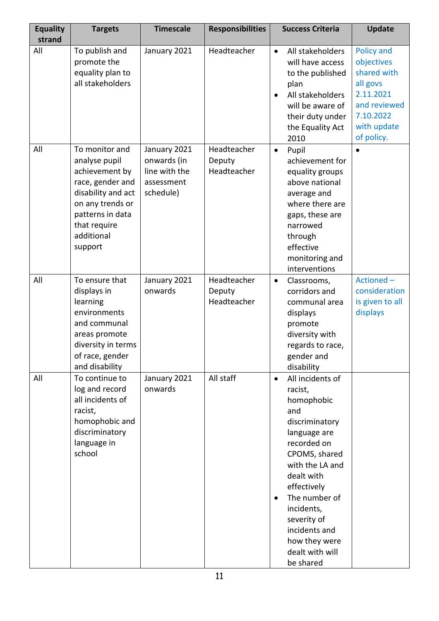| <b>Equality</b><br>strand | <b>Targets</b>                                                                                                                                                               | <b>Timescale</b>                                                        | <b>Responsibilities</b>              | <b>Success Criteria</b>                                                                                                                                                                                                                                                                                      | <b>Update</b>                                                                                                                     |
|---------------------------|------------------------------------------------------------------------------------------------------------------------------------------------------------------------------|-------------------------------------------------------------------------|--------------------------------------|--------------------------------------------------------------------------------------------------------------------------------------------------------------------------------------------------------------------------------------------------------------------------------------------------------------|-----------------------------------------------------------------------------------------------------------------------------------|
| All                       | To publish and<br>promote the<br>equality plan to<br>all stakeholders                                                                                                        | January 2021                                                            | Headteacher                          | All stakeholders<br>$\bullet$<br>will have access<br>to the published<br>plan<br>All stakeholders<br>$\bullet$<br>will be aware of<br>their duty under<br>the Equality Act<br>2010                                                                                                                           | <b>Policy and</b><br>objectives<br>shared with<br>all govs<br>2.11.2021<br>and reviewed<br>7.10.2022<br>with update<br>of policy. |
| All                       | To monitor and<br>analyse pupil<br>achievement by<br>race, gender and<br>disability and act<br>on any trends or<br>patterns in data<br>that require<br>additional<br>support | January 2021<br>onwards (in<br>line with the<br>assessment<br>schedule) | Headteacher<br>Deputy<br>Headteacher | Pupil<br>$\bullet$<br>achievement for<br>equality groups<br>above national<br>average and<br>where there are<br>gaps, these are<br>narrowed<br>through<br>effective<br>monitoring and<br>interventions                                                                                                       | $\bullet$                                                                                                                         |
| All                       | To ensure that<br>displays in<br>learning<br>environments<br>and communal<br>areas promote<br>diversity in terms<br>of race, gender<br>and disability                        | January 2021<br>onwards                                                 | Headteacher<br>Deputy<br>Headteacher | Classrooms,<br>$\bullet$<br>corridors and<br>communal area<br>displays<br>promote<br>diversity with<br>regards to race,<br>gender and<br>disability                                                                                                                                                          | Actioned-<br>consideration<br>is given to all<br>displays                                                                         |
| All                       | To continue to<br>log and record<br>all incidents of<br>racist,<br>homophobic and<br>discriminatory<br>language in<br>school                                                 | January 2021<br>onwards                                                 | All staff                            | All incidents of<br>$\bullet$<br>racist,<br>homophobic<br>and<br>discriminatory<br>language are<br>recorded on<br>CPOMS, shared<br>with the LA and<br>dealt with<br>effectively<br>The number of<br>$\bullet$<br>incidents,<br>severity of<br>incidents and<br>how they were<br>dealt with will<br>be shared |                                                                                                                                   |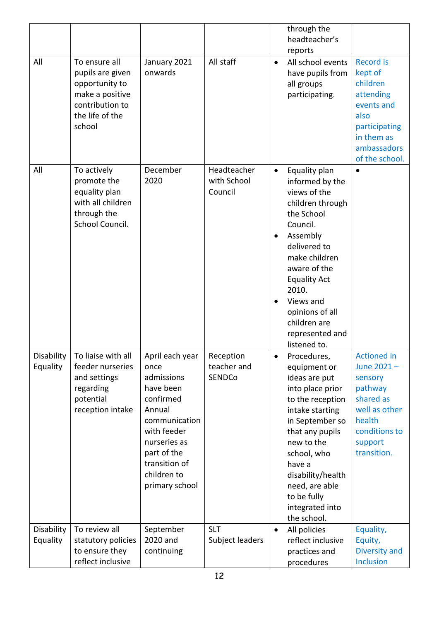|                        |                                                                                                                        |                                                                                                                                                                                            |                                       |                             | through the<br>headteacher's                                                                                                                                                                                                                                                   |                                                                                                                                            |
|------------------------|------------------------------------------------------------------------------------------------------------------------|--------------------------------------------------------------------------------------------------------------------------------------------------------------------------------------------|---------------------------------------|-----------------------------|--------------------------------------------------------------------------------------------------------------------------------------------------------------------------------------------------------------------------------------------------------------------------------|--------------------------------------------------------------------------------------------------------------------------------------------|
|                        |                                                                                                                        |                                                                                                                                                                                            |                                       |                             | reports                                                                                                                                                                                                                                                                        |                                                                                                                                            |
| All                    | To ensure all<br>pupils are given<br>opportunity to<br>make a positive<br>contribution to<br>the life of the<br>school | January 2021<br>onwards                                                                                                                                                                    | All staff                             | $\bullet$                   | All school events<br>have pupils from<br>all groups<br>participating.                                                                                                                                                                                                          | <b>Record is</b><br>kept of<br>children<br>attending<br>events and<br>also<br>participating<br>in them as<br>ambassadors<br>of the school. |
| All                    | To actively<br>promote the<br>equality plan<br>with all children<br>through the<br>School Council.                     | December<br>2020                                                                                                                                                                           | Headteacher<br>with School<br>Council | $\bullet$<br>٠<br>$\bullet$ | Equality plan<br>informed by the<br>views of the<br>children through<br>the School<br>Council.<br>Assembly<br>delivered to<br>make children<br>aware of the<br><b>Equality Act</b><br>2010.<br>Views and<br>opinions of all<br>children are<br>represented and<br>listened to. | $\bullet$                                                                                                                                  |
| Disability<br>Equality | To liaise with all<br>feeder nurseries<br>and settings<br>regarding<br>potential<br>reception intake                   | April each year<br>once<br>admissions<br>have been<br>confirmed<br>Annual<br>communication<br>with feeder<br>nurseries as<br>part of the<br>transition of<br>children to<br>primary school | Reception<br>teacher and<br>SENDCo    | $\bullet$                   | Procedures,<br>equipment or<br>ideas are put<br>into place prior<br>to the reception<br>intake starting<br>in September so<br>that any pupils<br>new to the<br>school, who<br>have a<br>disability/health<br>need, are able<br>to be fully<br>integrated into<br>the school.   | <b>Actioned in</b><br>June 2021-<br>sensory<br>pathway<br>shared as<br>well as other<br>health<br>conditions to<br>support<br>transition.  |
| Disability<br>Equality | To review all<br>statutory policies<br>to ensure they<br>reflect inclusive                                             | September<br>2020 and<br>continuing                                                                                                                                                        | <b>SLT</b><br>Subject leaders         | $\bullet$                   | All policies<br>reflect inclusive<br>practices and<br>procedures                                                                                                                                                                                                               | Equality,<br>Equity,<br>Diversity and<br><b>Inclusion</b>                                                                                  |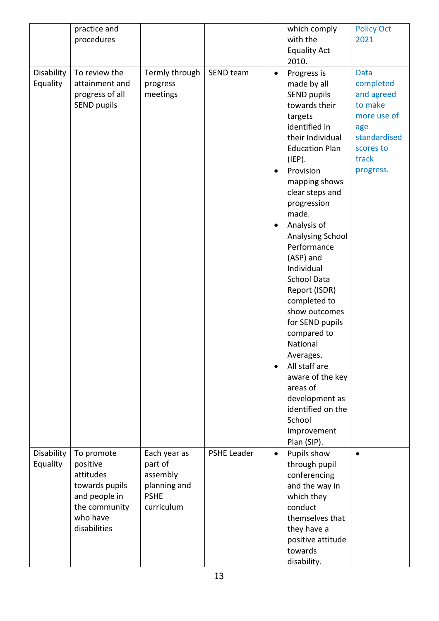|                        | practice and<br>procedures                                                                                          |                                                                                  |                    |                                                  | which comply<br>with the<br><b>Equality Act</b><br>2010.                                                                                                                                                                                                                                                                                                                                                                                                                                                                                                                             | <b>Policy Oct</b><br>2021                                                                                                  |
|------------------------|---------------------------------------------------------------------------------------------------------------------|----------------------------------------------------------------------------------|--------------------|--------------------------------------------------|--------------------------------------------------------------------------------------------------------------------------------------------------------------------------------------------------------------------------------------------------------------------------------------------------------------------------------------------------------------------------------------------------------------------------------------------------------------------------------------------------------------------------------------------------------------------------------------|----------------------------------------------------------------------------------------------------------------------------|
| Disability<br>Equality | To review the<br>attainment and<br>progress of all<br><b>SEND pupils</b>                                            | Termly through<br>progress<br>meetings                                           | SEND team          | $\bullet$<br>$\bullet$<br>$\bullet$<br>$\bullet$ | Progress is<br>made by all<br><b>SEND pupils</b><br>towards their<br>targets<br>identified in<br>their Individual<br><b>Education Plan</b><br>(IEP).<br>Provision<br>mapping shows<br>clear steps and<br>progression<br>made.<br>Analysis of<br><b>Analysing School</b><br>Performance<br>(ASP) and<br>Individual<br><b>School Data</b><br>Report (ISDR)<br>completed to<br>show outcomes<br>for SEND pupils<br>compared to<br>National<br>Averages.<br>All staff are<br>aware of the key<br>areas of<br>development as<br>identified on the<br>School<br>Improvement<br>Plan (SIP). | <b>Data</b><br>completed<br>and agreed<br>to make<br>more use of<br>age<br>standardised<br>scores to<br>track<br>progress. |
| Disability<br>Equality | To promote<br>positive<br>attitudes<br>towards pupils<br>and people in<br>the community<br>who have<br>disabilities | Each year as<br>part of<br>assembly<br>planning and<br><b>PSHE</b><br>curriculum | <b>PSHE Leader</b> | $\bullet$                                        | Pupils show<br>through pupil<br>conferencing<br>and the way in<br>which they<br>conduct<br>themselves that<br>they have a<br>positive attitude<br>towards<br>disability.                                                                                                                                                                                                                                                                                                                                                                                                             | $\bullet$                                                                                                                  |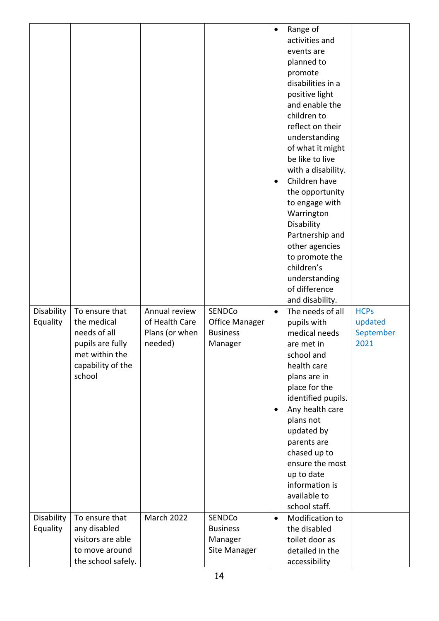|                        |                                                                                                                    |                                                              |                                                        | $\bullet$<br>$\bullet$ | Range of<br>activities and<br>events are<br>planned to<br>promote<br>disabilities in a<br>positive light<br>and enable the<br>children to<br>reflect on their<br>understanding<br>of what it might<br>be like to live<br>with a disability.<br>Children have<br>the opportunity<br>to engage with<br>Warrington<br>Disability<br>Partnership and<br>other agencies<br>to promote the<br>children's<br>understanding<br>of difference<br>and disability. |                                             |
|------------------------|--------------------------------------------------------------------------------------------------------------------|--------------------------------------------------------------|--------------------------------------------------------|------------------------|---------------------------------------------------------------------------------------------------------------------------------------------------------------------------------------------------------------------------------------------------------------------------------------------------------------------------------------------------------------------------------------------------------------------------------------------------------|---------------------------------------------|
| Disability<br>Equality | To ensure that<br>the medical<br>needs of all<br>pupils are fully<br>met within the<br>capability of the<br>school | Annual review<br>of Health Care<br>Plans (or when<br>needed) | SENDCo<br>Office Manager<br><b>Business</b><br>Manager | $\bullet$<br>٠         | The needs of all<br>pupils with<br>medical needs<br>are met in<br>school and<br>health care<br>plans are in<br>place for the<br>identified pupils.<br>Any health care<br>plans not<br>updated by<br>parents are<br>chased up to<br>ensure the most<br>up to date<br>information is<br>available to<br>school staff.                                                                                                                                     | <b>HCPs</b><br>updated<br>September<br>2021 |
| Disability             | To ensure that                                                                                                     | <b>March 2022</b>                                            | SENDCo                                                 | $\bullet$              | Modification to                                                                                                                                                                                                                                                                                                                                                                                                                                         |                                             |
| Equality               | any disabled                                                                                                       |                                                              | <b>Business</b>                                        |                        | the disabled                                                                                                                                                                                                                                                                                                                                                                                                                                            |                                             |
|                        | visitors are able                                                                                                  |                                                              | Manager                                                |                        | toilet door as                                                                                                                                                                                                                                                                                                                                                                                                                                          |                                             |
|                        | to move around<br>the school safely.                                                                               |                                                              | Site Manager                                           |                        | detailed in the                                                                                                                                                                                                                                                                                                                                                                                                                                         |                                             |
|                        |                                                                                                                    |                                                              |                                                        |                        | accessibility                                                                                                                                                                                                                                                                                                                                                                                                                                           |                                             |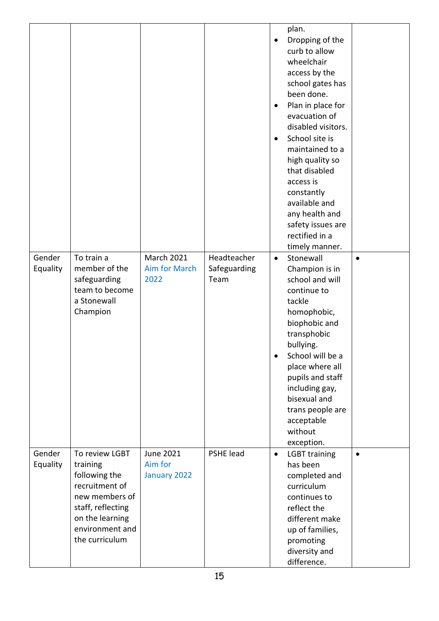|                    |                                                                                                                                                              |                                             |                                     | ٠<br>$\bullet$<br>$\bullet$ | plan.<br>Dropping of the<br>curb to allow<br>wheelchair<br>access by the<br>school gates has<br>been done.<br>Plan in place for<br>evacuation of<br>disabled visitors.<br>School site is<br>maintained to a<br>high quality so<br>that disabled<br>access is<br>constantly<br>available and<br>any health and<br>safety issues are<br>rectified in a<br>timely manner. |           |
|--------------------|--------------------------------------------------------------------------------------------------------------------------------------------------------------|---------------------------------------------|-------------------------------------|-----------------------------|------------------------------------------------------------------------------------------------------------------------------------------------------------------------------------------------------------------------------------------------------------------------------------------------------------------------------------------------------------------------|-----------|
| Gender<br>Equality | To train a<br>member of the<br>safeguarding<br>team to become<br>a Stonewall<br>Champion                                                                     | <b>March 2021</b><br>Aim for March<br>2022  | Headteacher<br>Safeguarding<br>Team | $\bullet$<br>$\bullet$      | Stonewall<br>Champion is in<br>school and will<br>continue to<br>tackle<br>homophobic,<br>biophobic and<br>transphobic<br>bullying.<br>School will be a<br>place where all<br>pupils and staff<br>including gay,<br>bisexual and<br>trans people are<br>acceptable<br>without<br>exception.                                                                            | $\bullet$ |
| Gender<br>Equality | To review LGBT<br>training<br>following the<br>recruitment of<br>new members of<br>staff, reflecting<br>on the learning<br>environment and<br>the curriculum | <b>June 2021</b><br>Aim for<br>January 2022 | PSHE lead                           | $\bullet$                   | <b>LGBT</b> training<br>has been<br>completed and<br>curriculum<br>continues to<br>reflect the<br>different make<br>up of families,<br>promoting<br>diversity and<br>difference.                                                                                                                                                                                       | $\bullet$ |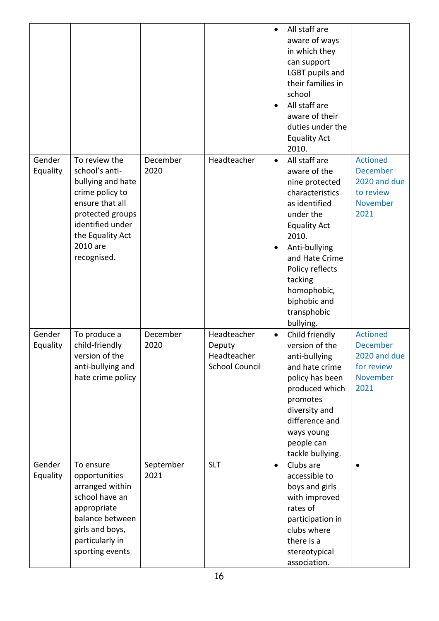|                    |                                                                                                                                                                                   |                   |                                                               | $\bullet$<br>$\bullet$ | All staff are<br>aware of ways<br>in which they<br>can support<br>LGBT pupils and<br>their families in<br>school<br>All staff are<br>aware of their<br>duties under the<br><b>Equality Act</b><br>2010.                                                      |                                                                                      |
|--------------------|-----------------------------------------------------------------------------------------------------------------------------------------------------------------------------------|-------------------|---------------------------------------------------------------|------------------------|--------------------------------------------------------------------------------------------------------------------------------------------------------------------------------------------------------------------------------------------------------------|--------------------------------------------------------------------------------------|
| Gender<br>Equality | To review the<br>school's anti-<br>bullying and hate<br>crime policy to<br>ensure that all<br>protected groups<br>identified under<br>the Equality Act<br>2010 are<br>recognised. | December<br>2020  | Headteacher                                                   | $\bullet$<br>$\bullet$ | All staff are<br>aware of the<br>nine protected<br>characteristics<br>as identified<br>under the<br><b>Equality Act</b><br>2010.<br>Anti-bullying<br>and Hate Crime<br>Policy reflects<br>tacking<br>homophobic,<br>biphobic and<br>transphobic<br>bullying. | <b>Actioned</b><br><b>December</b><br>2020 and due<br>to review<br>November<br>2021  |
| Gender<br>Equality | To produce a<br>child-friendly<br>version of the<br>anti-bullying and<br>hate crime policy                                                                                        | December<br>2020  | Headteacher<br>Deputy<br>Headteacher<br><b>School Council</b> | $\bullet$              | Child friendly<br>version of the<br>anti-bullying<br>and hate crime<br>policy has been<br>produced which<br>promotes<br>diversity and<br>difference and<br>ways young<br>people can<br>tackle bullying.                                                      | <b>Actioned</b><br><b>December</b><br>2020 and due<br>for review<br>November<br>2021 |
| Gender<br>Equality | To ensure<br>opportunities<br>arranged within<br>school have an<br>appropriate<br>balance between<br>girls and boys,<br>particularly in<br>sporting events                        | September<br>2021 | <b>SLT</b>                                                    | $\bullet$              | Clubs are<br>accessible to<br>boys and girls<br>with improved<br>rates of<br>participation in<br>clubs where<br>there is a<br>stereotypical<br>association.                                                                                                  | $\bullet$                                                                            |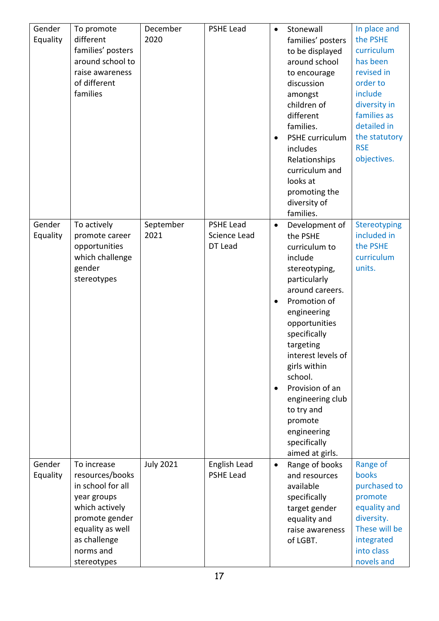| Gender<br>Equality | To promote<br>different<br>families' posters<br>around school to<br>raise awareness<br>of different<br>families                                                        | December<br>2020  | <b>PSHE Lead</b>                     | $\bullet$<br>$\bullet$ | Stonewall<br>families' posters<br>to be displayed<br>around school<br>to encourage<br>discussion<br>amongst<br>children of<br>different<br>families.<br>PSHE curriculum<br>includes<br>Relationships<br>curriculum and<br>looks at<br>promoting the<br>diversity of<br>families.                                                                           | In place and<br>the PSHE<br>curriculum<br>has been<br>revised in<br>order to<br>include<br>diversity in<br>families as<br>detailed in<br>the statutory<br><b>RSE</b><br>objectives. |
|--------------------|------------------------------------------------------------------------------------------------------------------------------------------------------------------------|-------------------|--------------------------------------|------------------------|------------------------------------------------------------------------------------------------------------------------------------------------------------------------------------------------------------------------------------------------------------------------------------------------------------------------------------------------------------|-------------------------------------------------------------------------------------------------------------------------------------------------------------------------------------|
| Gender<br>Equality | To actively<br>promote career<br>opportunities<br>which challenge<br>gender<br>stereotypes                                                                             | September<br>2021 | PSHE Lead<br>Science Lead<br>DT Lead | $\bullet$<br>٠         | Development of<br>the PSHE<br>curriculum to<br>include<br>stereotyping,<br>particularly<br>around careers.<br>Promotion of<br>engineering<br>opportunities<br>specifically<br>targeting<br>interest levels of<br>girls within<br>school.<br>Provision of an<br>engineering club<br>to try and<br>promote<br>engineering<br>specifically<br>aimed at girls. | Stereotyping<br>included in<br>the PSHE<br>curriculum<br>units.                                                                                                                     |
| Gender<br>Equality | To increase<br>resources/books<br>in school for all<br>year groups<br>which actively<br>promote gender<br>equality as well<br>as challenge<br>norms and<br>stereotypes | <b>July 2021</b>  | English Lead<br><b>PSHE Lead</b>     | $\bullet$              | Range of books<br>and resources<br>available<br>specifically<br>target gender<br>equality and<br>raise awareness<br>of LGBT.                                                                                                                                                                                                                               | Range of<br>books<br>purchased to<br>promote<br>equality and<br>diversity.<br>These will be<br>integrated<br>into class<br>novels and                                               |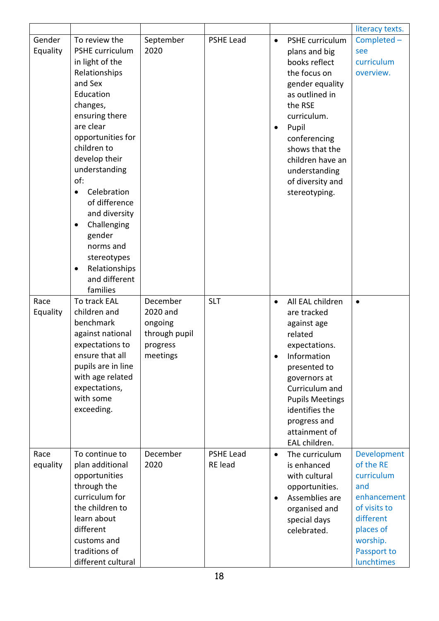|          |                            |               |                  |           |                        | literacy texts. |
|----------|----------------------------|---------------|------------------|-----------|------------------------|-----------------|
| Gender   | To review the              | September     | <b>PSHE Lead</b> | $\bullet$ | PSHE curriculum        | Completed -     |
| Equality | PSHE curriculum            | 2020          |                  |           | plans and big          | see             |
|          | in light of the            |               |                  |           | books reflect          | curriculum      |
|          | Relationships              |               |                  |           | the focus on           | overview.       |
|          | and Sex                    |               |                  |           | gender equality        |                 |
|          | Education                  |               |                  |           | as outlined in         |                 |
|          | changes,                   |               |                  |           | the RSE                |                 |
|          | ensuring there             |               |                  |           | curriculum.            |                 |
|          | are clear                  |               |                  | $\bullet$ | Pupil                  |                 |
|          | opportunities for          |               |                  |           | conferencing           |                 |
|          | children to                |               |                  |           | shows that the         |                 |
|          | develop their              |               |                  |           | children have an       |                 |
|          | understanding              |               |                  |           | understanding          |                 |
|          | of:                        |               |                  |           | of diversity and       |                 |
|          | Celebration<br>$\bullet$   |               |                  |           | stereotyping.          |                 |
|          | of difference              |               |                  |           |                        |                 |
|          | and diversity              |               |                  |           |                        |                 |
|          |                            |               |                  |           |                        |                 |
|          | Challenging<br>٠<br>gender |               |                  |           |                        |                 |
|          | norms and                  |               |                  |           |                        |                 |
|          |                            |               |                  |           |                        |                 |
|          | stereotypes                |               |                  |           |                        |                 |
|          | Relationships<br>$\bullet$ |               |                  |           |                        |                 |
|          | and different              |               |                  |           |                        |                 |
|          | families                   |               |                  |           |                        |                 |
| Race     | To track EAL               | December      | <b>SLT</b>       | $\bullet$ | All EAL children       | $\bullet$       |
| Equality | children and               | 2020 and      |                  |           | are tracked            |                 |
|          | benchmark                  | ongoing       |                  |           | against age            |                 |
|          | against national           | through pupil |                  |           | related                |                 |
|          | expectations to            | progress      |                  |           | expectations.          |                 |
|          | ensure that all            | meetings      |                  | $\bullet$ | Information            |                 |
|          | pupils are in line         |               |                  |           | presented to           |                 |
|          | with age related           |               |                  |           | governors at           |                 |
|          | expectations,              |               |                  |           | Curriculum and         |                 |
|          | with some                  |               |                  |           | <b>Pupils Meetings</b> |                 |
|          | exceeding.                 |               |                  |           | identifies the         |                 |
|          |                            |               |                  |           | progress and           |                 |
|          |                            |               |                  |           | attainment of          |                 |
|          |                            |               |                  |           |                        |                 |
| Race     |                            |               |                  |           | EAL children.          |                 |
|          | To continue to             | December      | <b>PSHE Lead</b> | $\bullet$ | The curriculum         | Development     |
| equality | plan additional            | 2020          | RE lead          |           | is enhanced            | of the RE       |
|          | opportunities              |               |                  |           | with cultural          | curriculum      |
|          | through the                |               |                  |           | opportunities.         | and             |
|          | curriculum for             |               |                  | $\bullet$ | Assemblies are         | enhancement     |
|          | the children to            |               |                  |           | organised and          | of visits to    |
|          | learn about                |               |                  |           | special days           | different       |
|          | different                  |               |                  |           | celebrated.            | places of       |
|          | customs and                |               |                  |           |                        | worship.        |
|          | traditions of              |               |                  |           |                        | Passport to     |